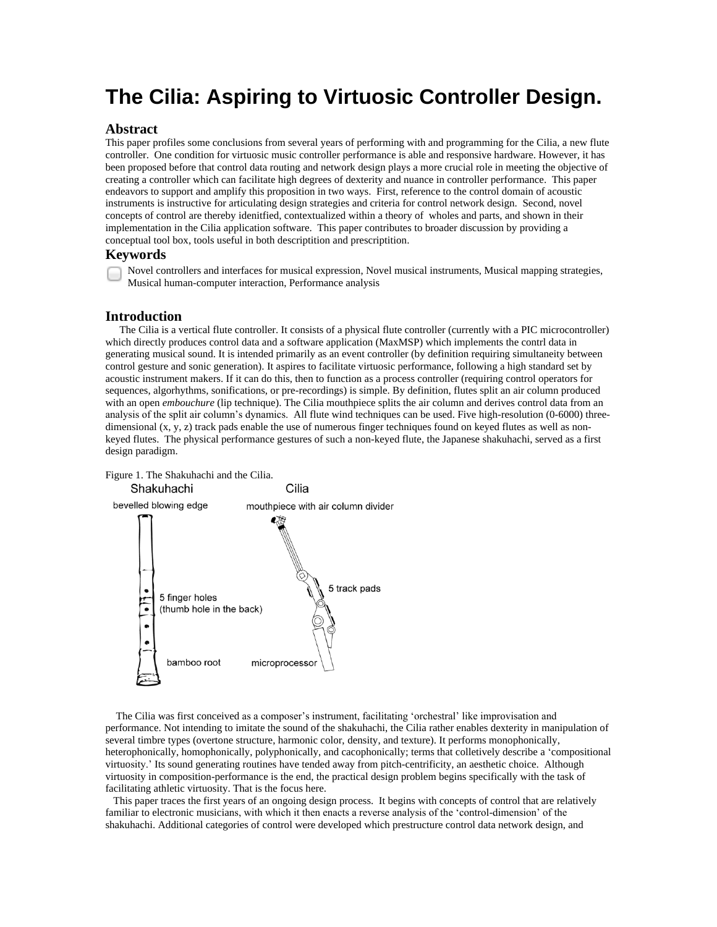# **The Cilia: Aspiring to Virtuosic Controller Design.**

### **Abstract**

This paper profiles some conclusions from several years of performing with and programming for the Cilia, a new flute controller. One condition for virtuosic music controller performance is able and responsive hardware. However, it has been proposed before that control data routing and network design plays a more crucial role in meeting the objective of creating a controller which can facilitate high degrees of dexterity and nuance in controller performance. This paper endeavors to support and amplify this proposition in two ways. First, reference to the control domain of acoustic instruments is instructive for articulating design strategies and criteria for control network design. Second, novel concepts of control are thereby idenitfied, contextualized within a theory of wholes and parts, and shown in their implementation in the Cilia application software. This paper contributes to broader discussion by providing a conceptual tool box, tools useful in both descriptition and prescriptition.

#### **Keywords**

Novel controllers and interfaces for musical expression, Novel musical instruments, Musical mapping strategies, Musical human-computer interaction, Performance analysis

#### **Introduction**

 The Cilia is a vertical flute controller. It consists of a physical flute controller (currently with a PIC microcontroller) which directly produces control data and a software application (MaxMSP) which implements the contrl data in generating musical sound. It is intended primarily as an event controller (by definition requiring simultaneity between control gesture and sonic generation). It aspires to facilitate virtuosic performance, following a high standard set by acoustic instrument makers. If it can do this, then to function as a process controller (requiring control operators for sequences, algorhythms, sonifications, or pre-recordings) is simple. By definition, flutes split an air column produced with an open *embouchure* (lip technique). The Cilia mouthpiece splits the air column and derives control data from an analysis of the split air column's dynamics. All flute wind techniques can be used. Five high-resolution (0-6000) threedimensional  $(x, y, z)$  track pads enable the use of numerous finger techniques found on keyed flutes as well as nonkeyed flutes. The physical performance gestures of such a non-keyed flute, the Japanese shakuhachi, served as a first design paradigm.





 The Cilia was first conceived as a composer's instrument, facilitating 'orchestral' like improvisation and performance. Not intending to imitate the sound of the shakuhachi, the Cilia rather enables dexterity in manipulation of several timbre types (overtone structure, harmonic color, density, and texture). It performs monophonically, heterophonically, homophonically, polyphonically, and cacophonically; terms that colletively describe a 'compositional virtuosity.' Its sound generating routines have tended away from pitch-centrificity, an aesthetic choice. Although virtuosity in composition-performance is the end, the practical design problem begins specifically with the task of facilitating athletic virtuosity. That is the focus here.

 This paper traces the first years of an ongoing design process. It begins with concepts of control that are relatively familiar to electronic musicians, with which it then enacts a reverse analysis of the 'control-dimension' of the shakuhachi. Additional categories of control were developed which prestructure control data network design, and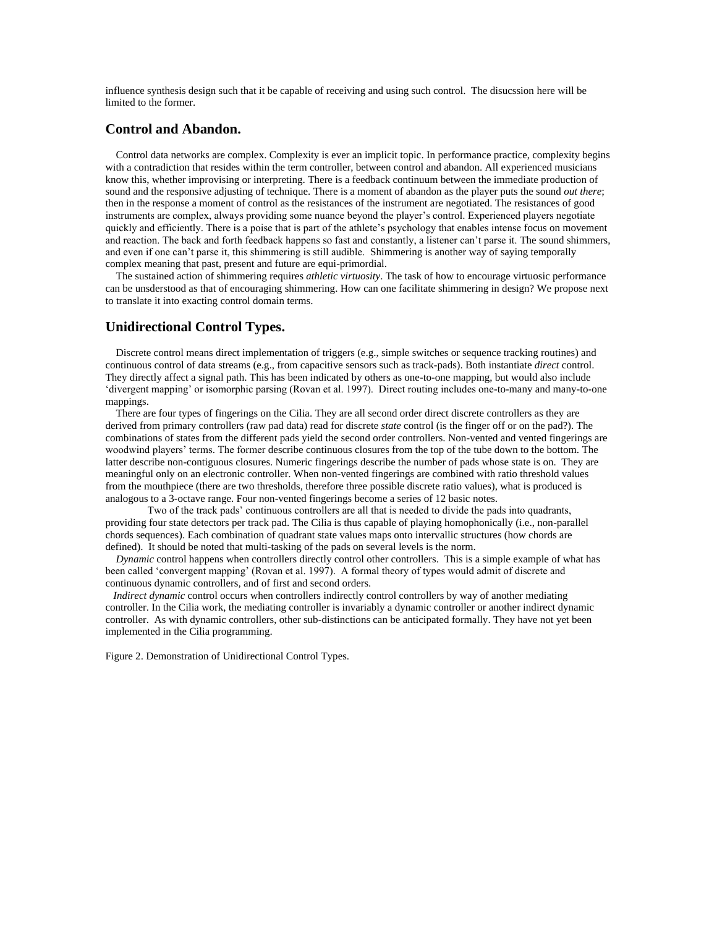influence synthesis design such that it be capable of receiving and using such control. The disucssion here will be limited to the former.

# **Control and Abandon.**

 Control data networks are complex. Complexity is ever an implicit topic. In performance practice, complexity begins with a contradiction that resides within the term controller, between control and abandon. All experienced musicians know this, whether improvising or interpreting. There is a feedback continuum between the immediate production of sound and the responsive adjusting of technique. There is a moment of abandon as the player puts the sound *out there*; then in the response a moment of control as the resistances of the instrument are negotiated. The resistances of good instruments are complex, always providing some nuance beyond the player's control. Experienced players negotiate quickly and efficiently. There is a poise that is part of the athlete's psychology that enables intense focus on movement and reaction. The back and forth feedback happens so fast and constantly, a listener can't parse it. The sound shimmers, and even if one can't parse it, this shimmering is still audible. Shimmering is another way of saying temporally complex meaning that past, present and future are equi-primordial.

 The sustained action of shimmering requires *athletic virtuosity*. The task of how to encourage virtuosic performance can be unsderstood as that of encouraging shimmering. How can one facilitate shimmering in design? We propose next to translate it into exacting control domain terms.

# **Unidirectional Control Types.**

Discrete control means direct implementation of triggers (e.g., simple switches or sequence tracking routines) and continuous control of data streams (e.g., from capacitive sensors such as track-pads). Both instantiate *direct* control. They directly affect a signal path. This has been indicated by others as one-to-one mapping, but would also include 'divergent mapping' or isomorphic parsing (Rovan et al. 1997). Direct routing includes one-to-many and many-to-one mappings.

 There are four types of fingerings on the Cilia. They are all second order direct discrete controllers as they are derived from primary controllers (raw pad data) read for discrete *state* control (is the finger off or on the pad?). The combinations of states from the different pads yield the second order controllers. Non-vented and vented fingerings are woodwind players' terms. The former describe continuous closures from the top of the tube down to the bottom. The latter describe non-contiguous closures. Numeric fingerings describe the number of pads whose state is on. They are meaningful only on an electronic controller. When non-vented fingerings are combined with ratio threshold values from the mouthpiece (there are two thresholds, therefore three possible discrete ratio values), what is produced is analogous to a 3-octave range. Four non-vented fingerings become a series of 12 basic notes.

Two of the track pads' continuous controllers are all that is needed to divide the pads into quadrants, providing four state detectors per track pad. The Cilia is thus capable of playing homophonically (i.e., non-parallel chords sequences). Each combination of quadrant state values maps onto intervallic structures (how chords are defined). It should be noted that multi-tasking of the pads on several levels is the norm.

 *Dynamic* control happens when controllers directly control other controllers. This is a simple example of what has been called 'convergent mapping' (Rovan et al. 1997). A formal theory of types would admit of discrete and continuous dynamic controllers, and of first and second orders.

*Indirect dynamic* control occurs when controllers indirectly control controllers by way of another mediating controller. In the Cilia work, the mediating controller is invariably a dynamic controller or another indirect dynamic controller. As with dynamic controllers, other sub-distinctions can be anticipated formally. They have not yet been implemented in the Cilia programming.

Figure 2. Demonstration of Unidirectional Control Types.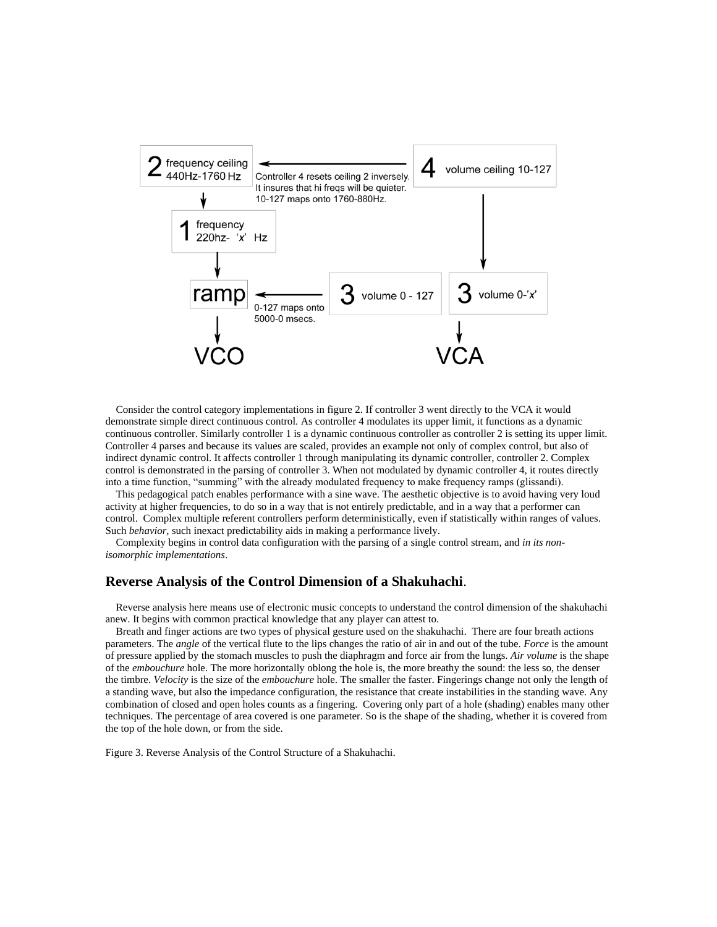

 Consider the control category implementations in figure 2. If controller 3 went directly to the VCA it would demonstrate simple direct continuous control. As controller 4 modulates its upper limit, it functions as a dynamic continuous controller. Similarly controller 1 is a dynamic continuous controller as controller 2 is setting its upper limit. Controller 4 parses and because its values are scaled, provides an example not only of complex control, but also of indirect dynamic control. It affects controller 1 through manipulating its dynamic controller, controller 2. Complex control is demonstrated in the parsing of controller 3. When not modulated by dynamic controller 4, it routes directly into a time function, "summing" with the already modulated frequency to make frequency ramps (glissandi).

 This pedagogical patch enables performance with a sine wave. The aesthetic objective is to avoid having very loud activity at higher frequencies, to do so in a way that is not entirely predictable, and in a way that a performer can control. Complex multiple referent controllers perform deterministically, even if statistically within ranges of values. Such *behavior,* such inexact predictability aids in making a performance lively.

 Complexity begins in control data configuration with the parsing of a single control stream, and *in its nonisomorphic implementations*.

## **Reverse Analysis of the Control Dimension of a Shakuhachi**.

 Reverse analysis here means use of electronic music concepts to understand the control dimension of the shakuhachi anew. It begins with common practical knowledge that any player can attest to.

 Breath and finger actions are two types of physical gesture used on the shakuhachi. There are four breath actions parameters. The *angle* of the vertical flute to the lips changes the ratio of air in and out of the tube. *Force* is the amount of pressure applied by the stomach muscles to push the diaphragm and force air from the lungs. *Air volume* is the shape of the *embouchure* hole. The more horizontally oblong the hole is, the more breathy the sound: the less so, the denser the timbre. *Velocity* is the size of the *embouchure* hole. The smaller the faster. Fingerings change not only the length of a standing wave, but also the impedance configuration, the resistance that create instabilities in the standing wave. Any combination of closed and open holes counts as a fingering. Covering only part of a hole (shading) enables many other techniques. The percentage of area covered is one parameter. So is the shape of the shading, whether it is covered from the top of the hole down, or from the side.

Figure 3. Reverse Analysis of the Control Structure of a Shakuhachi.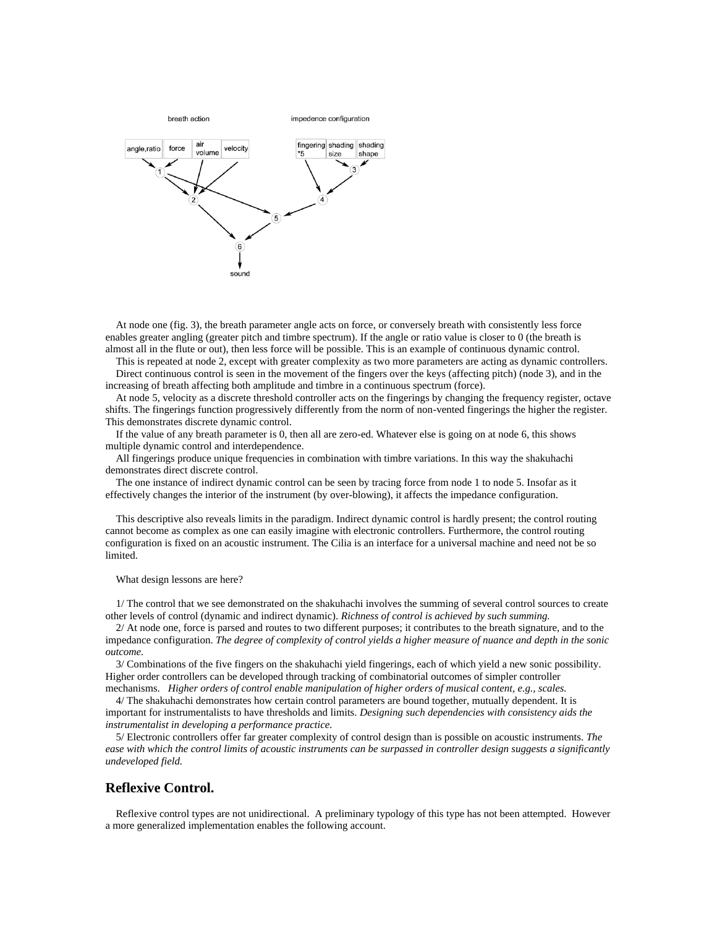

 At node one (fig. 3), the breath parameter angle acts on force, or conversely breath with consistently less force enables greater angling (greater pitch and timbre spectrum). If the angle or ratio value is closer to 0 (the breath is almost all in the flute or out), then less force will be possible. This is an example of continuous dynamic control.

 This is repeated at node 2, except with greater complexity as two more parameters are acting as dynamic controllers. Direct continuous control is seen in the movement of the fingers over the keys (affecting pitch) (node 3), and in the increasing of breath affecting both amplitude and timbre in a continuous spectrum (force).

 At node 5, velocity as a discrete threshold controller acts on the fingerings by changing the frequency register, octave shifts. The fingerings function progressively differently from the norm of non-vented fingerings the higher the register. This demonstrates discrete dynamic control.

 If the value of any breath parameter is 0, then all are zero-ed. Whatever else is going on at node 6, this shows multiple dynamic control and interdependence.

 All fingerings produce unique frequencies in combination with timbre variations. In this way the shakuhachi demonstrates direct discrete control.

 The one instance of indirect dynamic control can be seen by tracing force from node 1 to node 5. Insofar as it effectively changes the interior of the instrument (by over-blowing), it affects the impedance configuration.

 This descriptive also reveals limits in the paradigm. Indirect dynamic control is hardly present; the control routing cannot become as complex as one can easily imagine with electronic controllers. Furthermore, the control routing configuration is fixed on an acoustic instrument. The Cilia is an interface for a universal machine and need not be so limited.

What design lessons are here?

 1/ The control that we see demonstrated on the shakuhachi involves the summing of several control sources to create other levels of control (dynamic and indirect dynamic). *Richness of control is achieved by such summing.*

 2/ At node one, force is parsed and routes to two different purposes; it contributes to the breath signature, and to the impedance configuration. *The degree of complexity of control yields a higher measure of nuance and depth in the sonic outcome.*

 3/ Combinations of the five fingers on the shakuhachi yield fingerings, each of which yield a new sonic possibility. Higher order controllers can be developed through tracking of combinatorial outcomes of simpler controller mechanisms. *Higher orders of control enable manipulation of higher orders of musical content, e.g., scales.*

 4/ The shakuhachi demonstrates how certain control parameters are bound together, mutually dependent. It is important for instrumentalists to have thresholds and limits. *Designing such dependencies with consistency aids the instrumentalist in developing a performance practice.*

 5/ Electronic controllers offer far greater complexity of control design than is possible on acoustic instruments. *The ease with which the control limits of acoustic instruments can be surpassed in controller design suggests a significantly undeveloped field.*

#### **Reflexive Control.**

 Reflexive control types are not unidirectional. A preliminary typology of this type has not been attempted. However a more generalized implementation enables the following account.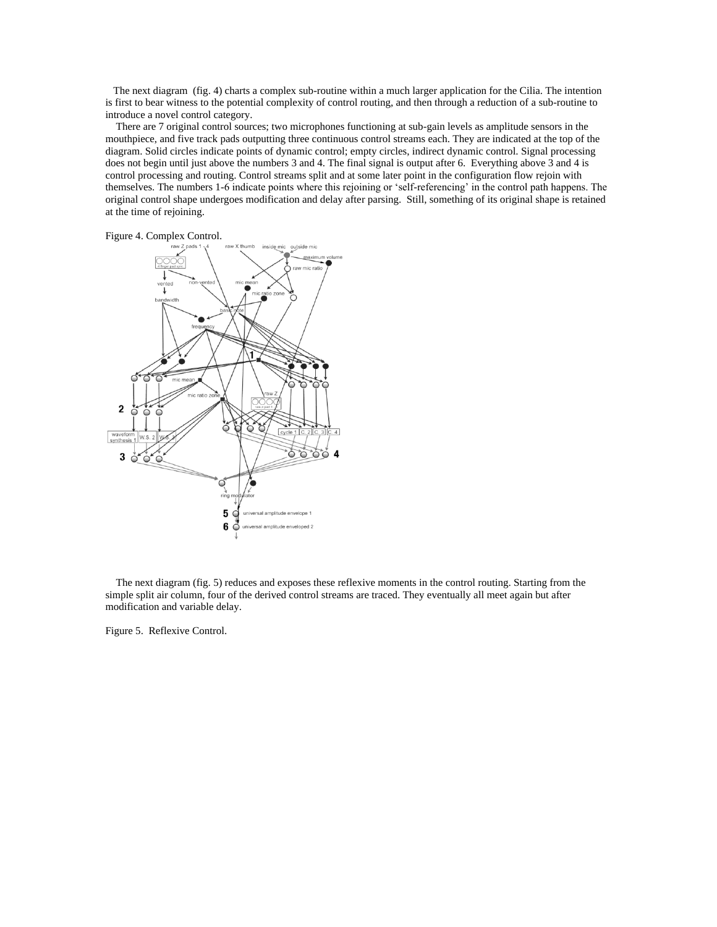The next diagram (fig. 4) charts a complex sub-routine within a much larger application for the Cilia. The intention is first to bear witness to the potential complexity of control routing, and then through a reduction of a sub-routine to introduce a novel control category.

 There are 7 original control sources; two microphones functioning at sub-gain levels as amplitude sensors in the mouthpiece, and five track pads outputting three continuous control streams each. They are indicated at the top of the diagram. Solid circles indicate points of dynamic control; empty circles, indirect dynamic control. Signal processing does not begin until just above the numbers 3 and 4. The final signal is output after 6. Everything above 3 and 4 is control processing and routing. Control streams split and at some later point in the configuration flow rejoin with themselves. The numbers 1-6 indicate points where this rejoining or 'self-referencing' in the control path happens. The original control shape undergoes modification and delay after parsing. Still, something of its original shape is retained at the time of rejoining.





 The next diagram (fig. 5) reduces and exposes these reflexive moments in the control routing. Starting from the simple split air column, four of the derived control streams are traced. They eventually all meet again but after modification and variable delay.

Figure 5. Reflexive Control.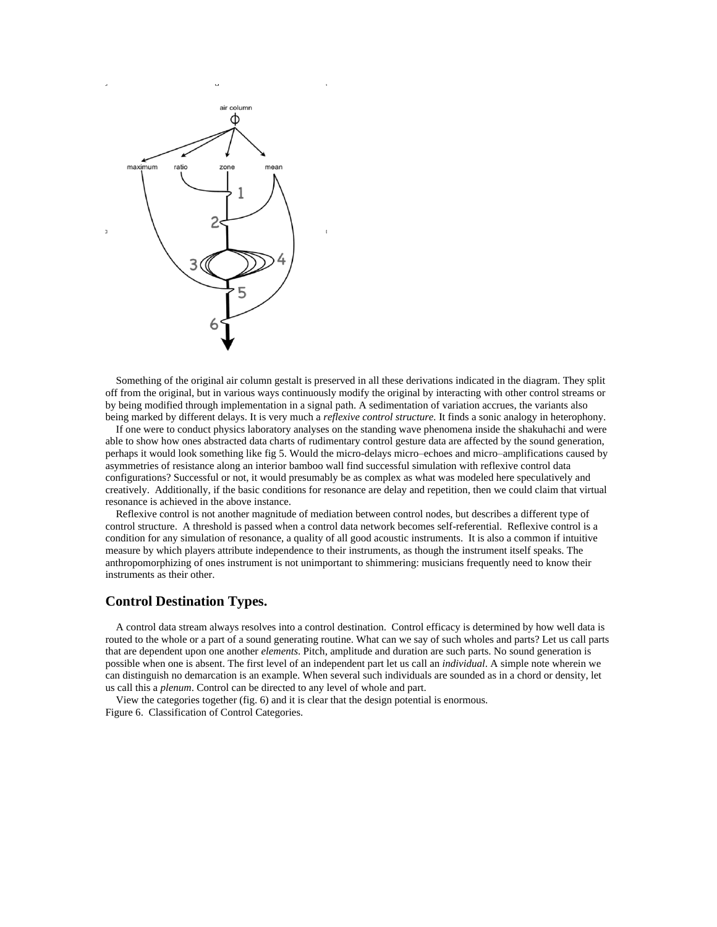

 Something of the original air column gestalt is preserved in all these derivations indicated in the diagram. They split off from the original, but in various ways continuously modify the original by interacting with other control streams or by being modified through implementation in a signal path. A sedimentation of variation accrues, the variants also being marked by different delays. It is very much a *reflexive control structure.* It finds a sonic analogy in heterophony.

 If one were to conduct physics laboratory analyses on the standing wave phenomena inside the shakuhachi and were able to show how ones abstracted data charts of rudimentary control gesture data are affected by the sound generation, perhaps it would look something like fig 5. Would the micro-delays micro–echoes and micro–amplifications caused by asymmetries of resistance along an interior bamboo wall find successful simulation with reflexive control data configurations? Successful or not, it would presumably be as complex as what was modeled here speculatively and creatively. Additionally, if the basic conditions for resonance are delay and repetition, then we could claim that virtual resonance is achieved in the above instance.

 Reflexive control is not another magnitude of mediation between control nodes, but describes a different type of control structure. A threshold is passed when a control data network becomes self-referential. Reflexive control is a condition for any simulation of resonance, a quality of all good acoustic instruments. It is also a common if intuitive measure by which players attribute independence to their instruments, as though the instrument itself speaks. The anthropomorphizing of ones instrument is not unimportant to shimmering: musicians frequently need to know their instruments as their other.

# **Control Destination Types.**

 A control data stream always resolves into a control destination. Control efficacy is determined by how well data is routed to the whole or a part of a sound generating routine. What can we say of such wholes and parts? Let us call parts that are dependent upon one another *elements*. Pitch, amplitude and duration are such parts. No sound generation is possible when one is absent. The first level of an independent part let us call an *individual*. A simple note wherein we can distinguish no demarcation is an example. When several such individuals are sounded as in a chord or density, let us call this a *plenum*. Control can be directed to any level of whole and part.

 View the categories together (fig. 6) and it is clear that the design potential is enormous. Figure 6. Classification of Control Categories.